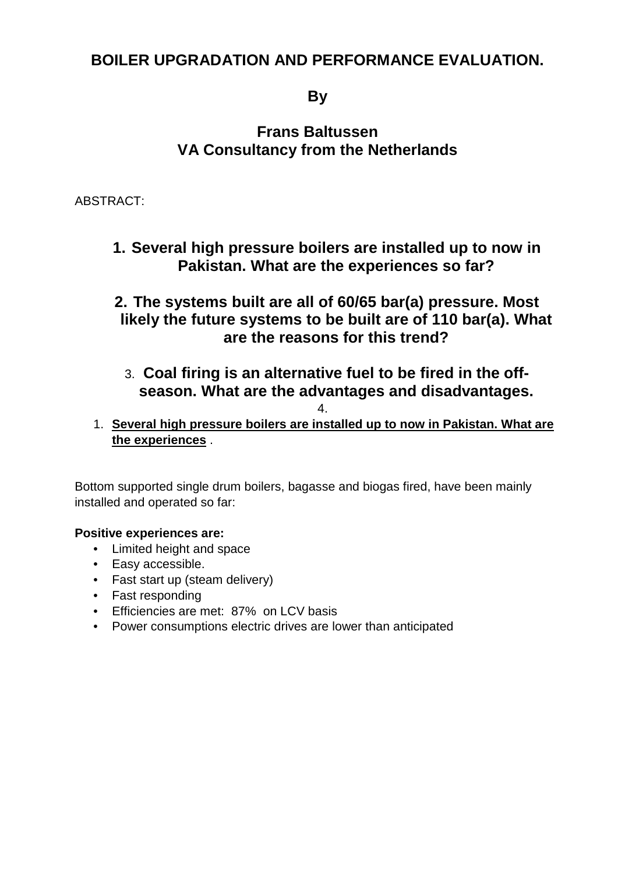# **BOILER UPGRADATION AND PERFORMANCE EVALUATION.**

# **By**

# **Frans Baltussen VA Consultancy from the Netherlands**

ABSTRACT:

**1. Several high pressure boilers are installed up to now in Pakistan. What are the experiences so far?**

**2. The systems built are all of 60/65 bar(a) pressure. Most likely the future systems to be built are of 110 bar(a). What are the reasons for this trend?**

3. **Coal firing is an alternative fuel to be fired in the offseason. What are the advantages and disadvantages.**

4.

1. **Several high pressure boilers are installed up to now in Pakistan. What are the experiences** .

Bottom supported single drum boilers, bagasse and biogas fired, have been mainly installed and operated so far:

#### **Positive experiences are:**

- Limited height and space
- Easy accessible.
- Fast start up (steam delivery)
- Fast responding
- Efficiencies are met: 87% on LCV basis
- Power consumptions electric drives are lower than anticipated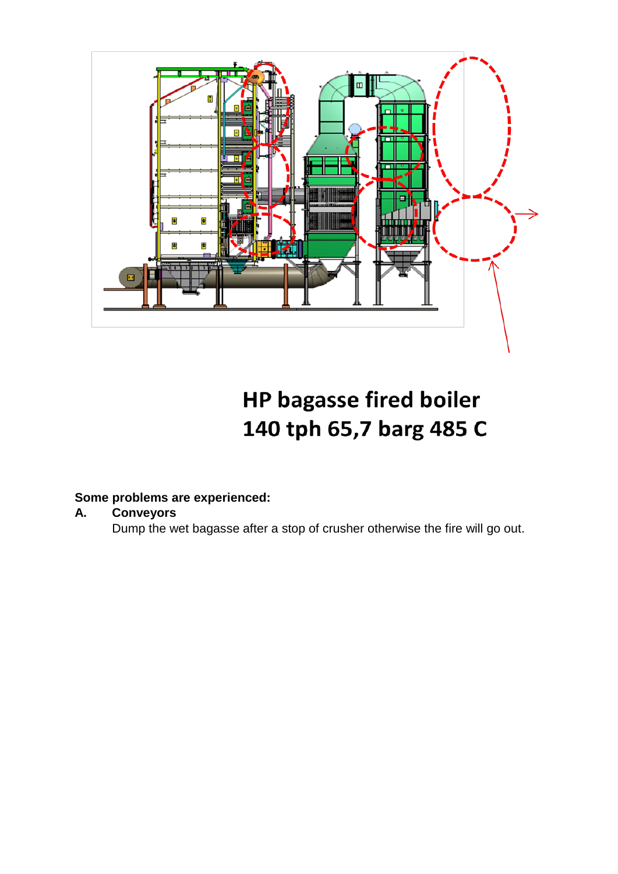

**HP bagasse fired boiler** 140 tph 65,7 barg 485 C

# **Some problems are experienced:**

#### **A. Conveyors**

Dump the wet bagasse after a stop of crusher otherwise the fire will go out.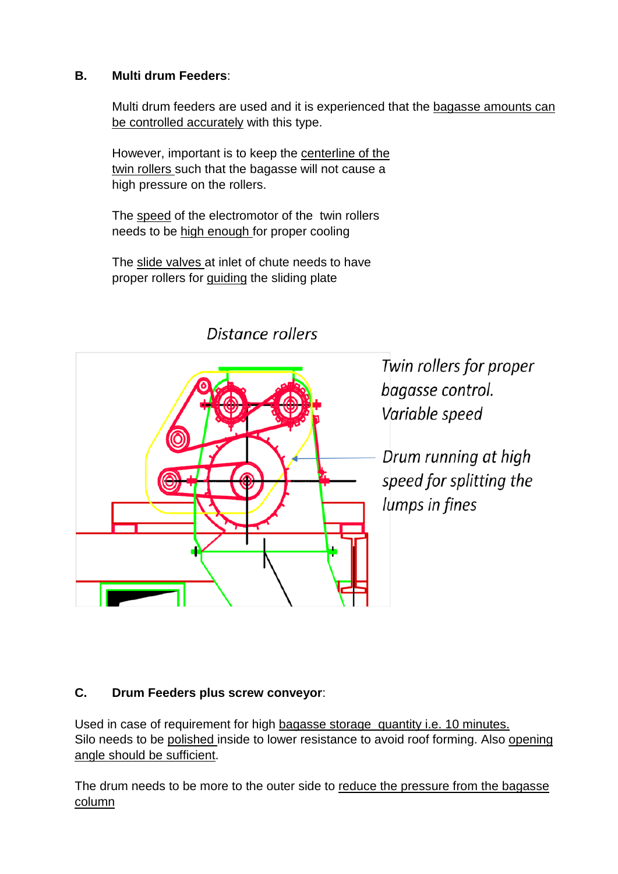#### **B. Multi drum Feeders**:

Multi drum feeders are used and it is experienced that the bagasse amounts can be controlled accurately with this type.

However, important is to keep the centerline of the <u>twin rollers </u>such that the bagasse will not cause a high pressure on the rollers.

The speed of the electromotor of the twin rollers needs to be <u>high enough f</u>or proper cooling

The slide valves at inlet of chute needs to have proper rollers for **guiding** the sliding plate



Distance rollers

Twin rollers for proper bagasse control. Variable speed

Drum running at high speed for splitting the lumps in fines

### **C. Drum Feeders plus screw conveyor**:

Used in case of requirement for high bagasse storage quantity i.e. 10 minutes. Silo needs to be polished inside to lower resistance to avoid roof forming. Also opening angle should be sufficient.

The drum needs to be more to the outer side to reduce the pressure from the bagasse column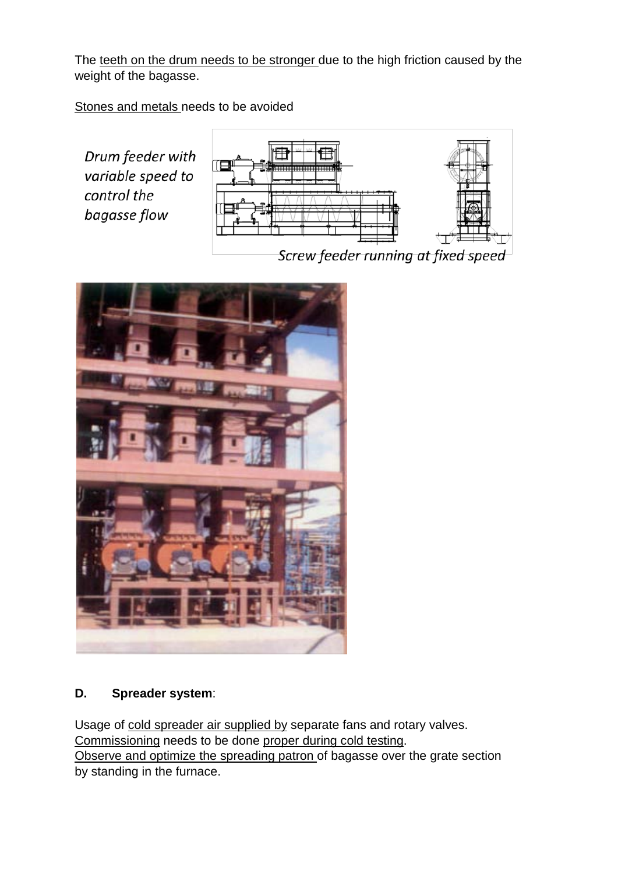The teeth on the drum needs to be stronger due to the high friction caused by the weight of the bagasse.

Stones and metals needs to be avoided

Drum feeder with variable speed to control the bagasse flow



Screw feeder running at fixed speed



### **D. Spreader system**:

Usage of cold spreader air supplied by separate fans and rotary valves. Commissioning needs to be done proper during cold testing. Observe and optimize the spreading patron of bagasse over the grate section by standing in the furnace.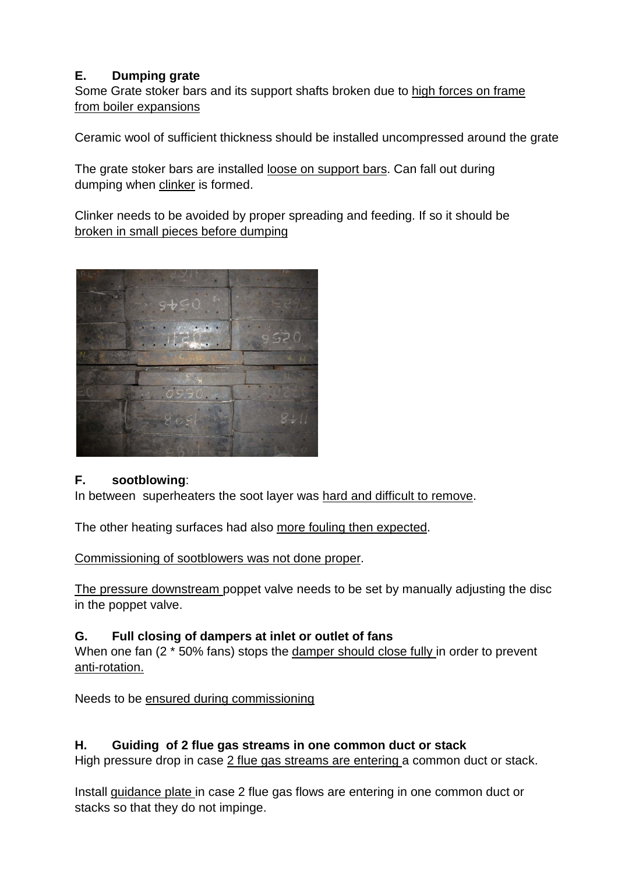# **E. Dumping grate**

Some Grate stoker bars and its support shafts broken due to high forces on frame from boiler expansions

Ceramic wool of sufficient thickness should be installed uncompressed around the grate

The grate stoker bars are installed loose on support bars. Can fall out during dumping when <u>clinker</u> is formed.

Clinker needs to be avoided by proper spreading and feeding. If so it should be broken in small pieces before dumping



### **F. sootblowing**:

In between superheaters the soot layer was hard and difficult to remove.

The other heating surfaces had also more fouling then expected.

Commissioning of sootblowers was not done proper.

The pressure downstream poppet valve needs to be set by manually adjusting the disc in the poppet valve.

#### **G. Full closing of dampers at inlet or outlet of fans**

When one fan (2 \* 50% fans) stops the damper should close fully in order to prevent anti-rotation.

Needs to be ensured during commissioning

### **H. Guiding of 2 flue gas streams in one common duct or stack**

High pressure drop in case 2 flue gas streams are entering a common duct or stack.

Install guidance plate in case 2 flue gas flows are entering in one common duct or stacks so that they do not impinge.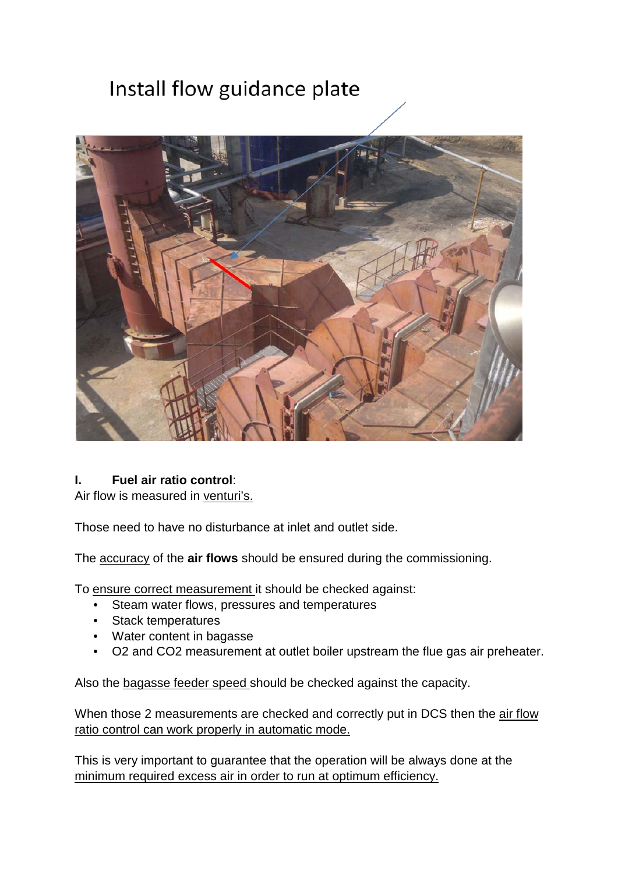# Install flow guidance plate



#### **I. Fuel air ratio control**:

Air flow is measured in venturi's.

Those need to have no disturbance at inlet and outlet side.

The accuracy of the **air flows** should be ensured during the commissioning.

To ensure correct measurement it should be checked against:

- Steam water flows, pressures and temperatures
- Stack temperatures
- Water content in bagasse
- O2 and CO2 measurement at outlet boiler upstream the flue gas air preheater.

Also the bagasse feeder speed should be checked against the capacity.

When those 2 measurements are checked and correctly put in DCS then the air flow ratio control can work properly in automatic mode.

This is very important to guarantee that the operation will be always done at the minimum required excess air in order to run at optimum efficiency.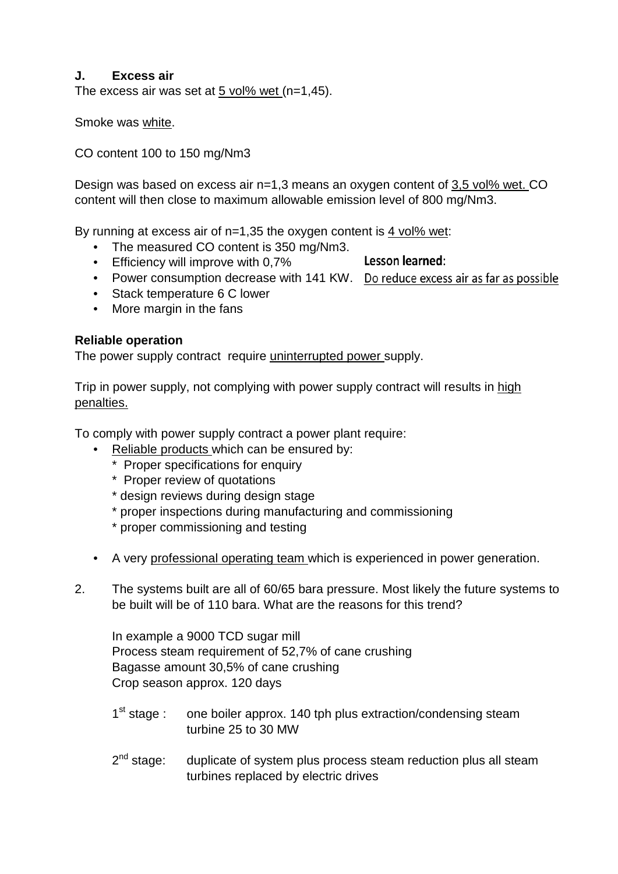#### **J. Excess air**

The excess air was set at  $5$  vol% wet (n=1,45).

Smoke was white.

#### CO content 100 to 150 mg/Nm3

Design was based on excess air n=1,3 means an oxygen content of 3,5 vol% wet. CO content will then close to maximum allowable emission level of 800 mg/Nm3.

By running at excess air of n=1,35 the oxygen content is <u>4 vol% wet</u>:

- The measured CO content is 350 mg/Nm3.
- Efficiency will improve with 0,7%

Lesson learned:

- Power consumption decrease with 141 KW. Do reduce excess air as far as possible
- Stack temperature 6 C lower
- More margin in the fans

#### **Reliable operation**

The power supply contract require uninterrupted power supply.

Trip in power supply, not complying with power supply contract will results in high penalties.

To comply with power supply contract a power plant require:

- Reliable products which can be ensured by:
	- \* Proper specifications for enquiry
	- \* Proper review of quotations
	- \* design reviews during design stage
	- \* proper inspections during manufacturing and commissioning
	- \* proper commissioning and testing
- A very professional operating team which is experienced in power generation.
- 2. The systems built are all of 60/65 bara pressure. Most likely the future systems to be built will be of 110 bara. What are the reasons for this trend?

In example a 9000 TCD sugar mill Process steam requirement of 52,7% of cane crushing Bagasse amount 30,5% of cane crushing Crop season approx. 120 days

- 1<sup>st</sup> stage : one boiler approx. 140 tph plus extraction/condensing steam turbine 25 to 30 MW
- $2<sup>nd</sup> stage:$  duplicate of system plus process steam reduction plus all steam turbines replaced by electric drives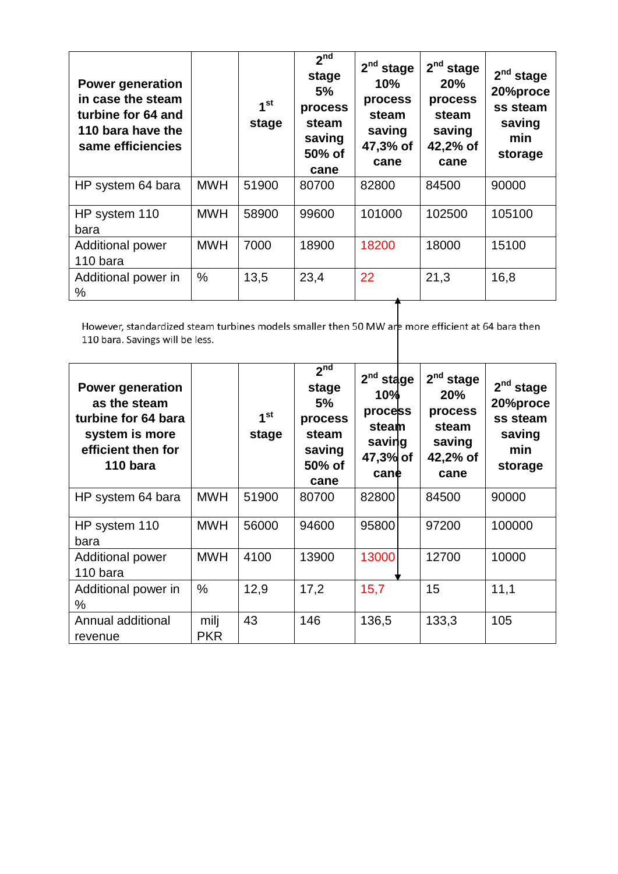| <b>Power generation</b><br>in case the steam<br>turbine for 64 and<br>110 bara have the<br>same efficiencies |            | 1 <sup>st</sup><br>stage | 2 <sub>nd</sub><br>stage<br>5%<br>process<br>steam<br>saving<br>50% of<br>cane | $2nd$ stage<br>10%<br>process<br>steam<br>saving<br>47,3% of<br>cane | $2nd$ stage<br>20%<br>process<br>steam<br>saving<br>42,2% of<br>cane | $2nd$ stage<br>20%proce<br>ss steam<br>saving<br>min<br>storage |
|--------------------------------------------------------------------------------------------------------------|------------|--------------------------|--------------------------------------------------------------------------------|----------------------------------------------------------------------|----------------------------------------------------------------------|-----------------------------------------------------------------|
| HP system 64 bara                                                                                            | <b>MWH</b> | 51900                    | 80700                                                                          | 82800                                                                | 84500                                                                | 90000                                                           |
| HP system 110<br>bara                                                                                        | <b>MWH</b> | 58900                    | 99600                                                                          | 101000                                                               | 102500                                                               | 105100                                                          |
| Additional power<br>110 bara                                                                                 | <b>MWH</b> | 7000                     | 18900                                                                          | 18200                                                                | 18000                                                                | 15100                                                           |
| Additional power in<br>$\%$                                                                                  | $\%$       | 13,5                     | 23,4                                                                           | 22                                                                   | 21,3                                                                 | 16,8                                                            |

However, standardized steam turbines models smaller then 50 MW are more efficient at 64 bara then 110 bara. Savings will be less.

| <b>Power generation</b><br>as the steam<br>turbine for 64 bara<br>system is more<br>efficient then for<br>110 bara |                    | $1^{\rm st}$<br>stage | 2 <sup>nd</sup><br>stage<br>5%<br>process<br>steam<br>saving<br>50% of<br>cane | $2nd$ stage<br>10%<br>process<br>steam<br>saving<br>47,3% of<br>cane | $2nd$ stage<br><b>20%</b><br>process<br>steam<br>saving<br>42,2% of<br>cane | $2nd$ stage<br>20%proce<br>ss steam<br>saving<br>min<br>storage |
|--------------------------------------------------------------------------------------------------------------------|--------------------|-----------------------|--------------------------------------------------------------------------------|----------------------------------------------------------------------|-----------------------------------------------------------------------------|-----------------------------------------------------------------|
| HP system 64 bara                                                                                                  | <b>MWH</b>         | 51900                 | 80700                                                                          | 82800                                                                | 84500                                                                       | 90000                                                           |
| HP system 110<br>bara                                                                                              | <b>MWH</b>         | 56000                 | 94600                                                                          | 95800                                                                | 97200                                                                       | 100000                                                          |
| Additional power<br>110 bara                                                                                       | <b>MWH</b>         | 4100                  | 13900                                                                          | 13000                                                                | 12700                                                                       | 10000                                                           |
| Additional power in<br>$\frac{0}{0}$                                                                               | $\frac{0}{0}$      | 12,9                  | 17,2                                                                           | 15,7                                                                 | 15                                                                          | 11,1                                                            |
| Annual additional<br>revenue                                                                                       | milj<br><b>PKR</b> | 43                    | 146                                                                            | 136,5                                                                | 133,3                                                                       | 105                                                             |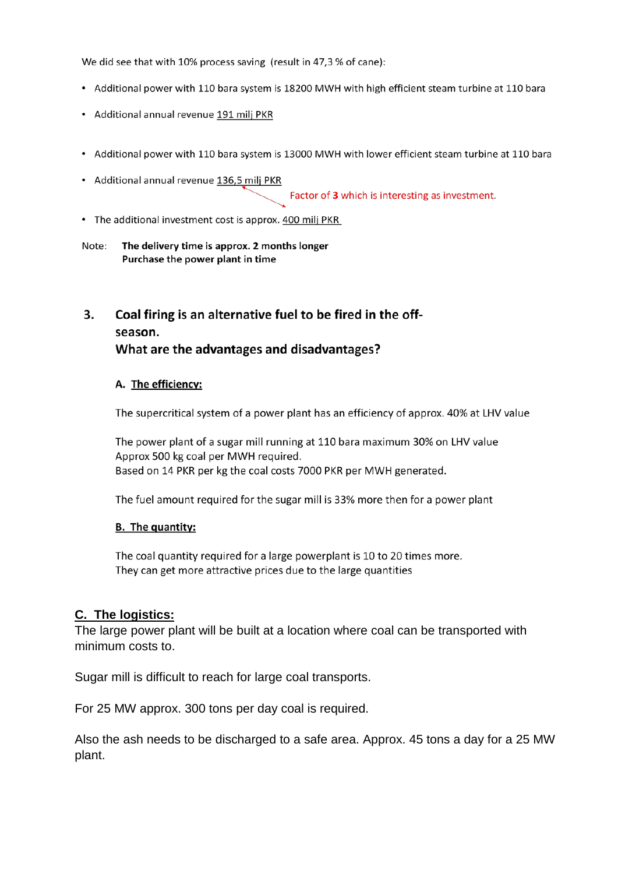We did see that with 10% process saving (result in 47,3 % of cane):

- Additional power with 110 bara system is 18200 MWH with high efficient steam turbine at 110 bara
- Additional annual revenue 191 milj PKR
- Additional power with 110 bara system is 13000 MWH with lower efficient steam turbine at 110 bara
- Additional annual revenue 136,5 milj PKR

Factor of 3 which is interesting as investment.

• The additional investment cost is approx. 400 milj PKR

#### Note: The delivery time is approx. 2 months longer Purchase the power plant in time

#### $3<sub>1</sub>$ Coal firing is an alternative fuel to be fired in the offseason.

#### What are the advantages and disadvantages?

#### A. The efficiency:

The supercritical system of a power plant has an efficiency of approx. 40% at LHV value

The power plant of a sugar mill running at 110 bara maximum 30% on LHV value Approx 500 kg coal per MWH required. Based on 14 PKR per kg the coal costs 7000 PKR per MWH generated.

The fuel amount required for the sugar mill is 33% more then for a power plant

#### **B.** The quantity:

The coal quantity required for a large powerplant is 10 to 20 times more. They can get more attractive prices due to the large quantities

#### **C. The logistics:**

The large power plant will be built at a location where coal can be transported with minimum costs to.

Sugar mill is difficult to reach for large coal transports.

For 25 MW approx. 300 tons per day coal is required.

Also the ash needs to be discharged to a safe area. Approx. 45 tons a day for a 25 MW plant.